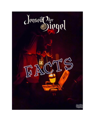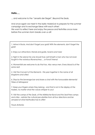### **Hello…,**

... and welcome to the "Jenseits der Siegel", Beyond the Seals.

And once again we meet in the idyllic Holzbrück to prepare for the summer campaign and to exchange ideas with each other! We want to reflect here and enjoy the peace and festivities once more before the summer storm breaks over us all!

*1. Arrive in flocks. And don't forget your gold! With the elements, don't forget the gold!*

*2. Enjoy our attractions: Stands and guilds, taverns and tubs!*

*3. Fight in the arena! No one should truly call himself a man who has not even fought in the notorious Ravenschrey ... or Fono? Arena!*

*4. Womenfolk are welcome to do that too. Also versus men. Every blood is of the same red!*

*5. Visit the Convent of the Elements - this year together in the name of all kingdoms and cities!*

*6. Stop by the beverage bar and share a chat with the honourable elemental Tribes of Mitraspera!*

*7. Keep your fingers where they belong - and that is not in the display of the traders, no matter what the voices whisper to you!*

*9. Visit the camps of the Seals, of the Märkischer Bund and the Seal Free camps and cities - admire the cultural peculiarities from all four directions and be amazed at what Mythodea has to offer!*

*Yours Antonio*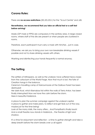# **Corona Rules:**

There are **no access restrictions** (3G,2G,2G+) for the "Scout Centre" and JdS.

### **Nevertheless, we recommend that you take an official test or a self-test before arriving!**

Masks (OP mask or FFP2) are compulsory in the sanitary area, in large closed rooms, where staff of the site are present or when people are clustered in rooms.

Therefore, each participant must carry a mask with him/her... just in case.

Otherwise, we ask you to bring your own non-breakable drinking vessels if possible and not to share drinking vessels with others.

Washing and disinfecting your hands frequently is normal anyway.

# **The Setting**

The settlers of Mitraspera, as well as the undead, have suffered heavy losses from the cataclysm of the World Forge. Now that much is lost, the fate of Creation hangs in the balance.

Cerenna's travelling camp of Harrowmoore at the Gallows Forest has been destroyed!

Her dark ritual, which Barnabas hid within the walls of Terra Ankor, has been finally interrupted! Now we have the calm before the storm. Here in beautiful Holzbrück.

A place to plan the summer campaign against the undead capital. A place to gather and make plans, to reflect and get feds out of the way, maybe just for the time being!

Look at the many stalls, the many offers... And Pompfball is finally back! And a small theatre now stands in Holzbrück... the theatre of light and shadow.

It's a time for enjoyment and reflection - a time to gather strength and take a deep breath before the storm breaks over us all again!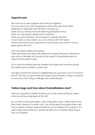## **Supportive play**

We want you to play together and have fun together. This can work if you carry the game as well as the roles of the other participants, especially with the NPCs, and play up. Make sure you always have the following principles in mind: When you are played, please show a reaction. When you play someone, do not expect a specific reaction. If your IT play is unsuccessful, you can continue with the 'failure'. Always assume that your opponent is a nice player and wants to have a great game with you!

And what about telling and points?

There are players who play with telling and scoring. Everyone is allowed to play as he or she likes, but should not be upset if a teammate does not respond to the offer to play.

Try to carry the setting: give the Undead a first strike and wrest the secrets from their land to prevent a winter war!

And give yourself the chance to deliberately put your foot in your IT's mouth in the OT. This way you give others the stage to play the hero. Losing on purpose is much nicer than losing unwillingly and unintentionally.

# **Yellow bags and how about GameMasters now?**

Here we would like to briefly introduce you to the ever-evolving SL system, which we will be using again at the JdS.

SLs, as well as some playmakers, wear a big yellow bag + yellow sash across their chest, instead of a white t-shirt. You will be able to recognise them well. Such a person is always approachable for you in matters OT as well as IT. If a yellow bag cannot help you, he/she will refer you to another yellow bag or the Crow Mastery.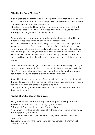## **What is the Crow Mastery?**

Good question! The closest thing is to compare it with a meadow HQ, only it is also IT. On the JdS you'll find one in the pack! In the evenings you will also find someone there in case of an emergency.

Questions can be asked here, actions can be announced or simply IT letters can be delivered. Sometimes IT messages arrive here for you, so it's worth sending a messenger there from time to time.

What kind of game management can I expect? Of course, it's hard to say, because it depends on the situation and the respective SL. But basically you can say that not every SL is always briefed for all plots and areas, but often only for a certain area. Otherwise, our yellow bags are at your disposal to help you find a solution in the game. But the 110% solution or the "meaning of life", well you probably won't be able to find that out. A bit like in real life. Follow the breadcrumb trail, make up your mind about the

world and have heated discussions with each other (some call it a scholarly game).

Which solution will be the right one will become clearer with every con. If you want to make a magic ritual big and relevant to the story, register it with the Crow's Nest and with a bit of luck your ritual will work. If it fails, have a plan ready for how you will create exciting play around the failure!

In addition, there can be many different solutions to plots, i.e. the plot should be able to respond to the vast majority of the players' suggestions, be it aqua, terra or something else entirely. A game is a game.

The important thing is that everyone should be allowed to participate and have fun together!

# **Game offers by players for players**

Enjoy the many colourful and lovingly created game offerings from the numerous player groups and campaign game parties! This year's JdS, let me tell you, is full of great action! You certainly won't be able to take it all in, there's simply too much for that... but keep your eyes peeled! And dare to do something at the JdS that might not suit your character or your game! Experience and enjoy the JdS to the fullest, you heroes of the Chronicle! You have earned it!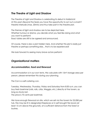# **The Theatre of Light and Shadow**

The Theatre of Light and Shadow is celebrating its debut in Holzbrück! At this year's Beyond the Seals you have the opportunity to act out a small IT theatre interlude (max. 20min) and thus take part in the theatre plot.

The themes of light and shadow are to be depicted here. Whether humour or drama, you decide what you feel like doing and what you want to perform! Exact dates are still to be agreed and announced.

Of course, there is also a plot hidden here. And whether this plot is really just theatre or perhaps something else... that is to be experienced!

We look forward to seeing many brave actors perform!

# *Organizational matters*

## *Accommodation, food and firewood*

Accommodation is in our own tents. We calculate with 15m² storage area per person, please remember this during your planning.

The Con is a self-catering con.

Tuesday, Wednesday, Thursday, Friday and Saturday from 8:30 a.m. you can buy fresh boehmel (rolls, rolls, cribs, Weggla, etc.) directly at the tavern, as long as stocks last.

The price is 70 cents per boehmel.

We have enough firewood on site, which we sell via the tavern for 25,00€ per tub. Fire may be lit in designated fireplaces or in self brought fire bowls (at least 15 cm above the ground!), at a sufficient distance from the forest or bushes.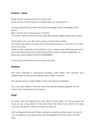## **Taverns - Kiosk**

There will be a bottle bar for you at the JdS. Some rumour that this place is called Ki'osk, but who knows...?

Among other things, bottled alcoholic beverages will be available at this place:

Beer, shandy and various types of mead!

Of course, there will also be cola, spezi, lemonade, apple spritzer and water!

At this place you can also pick up buns and wood to order!

And what else there is to discover in that mystical place... that's for you to find out on the spot!

There is even a delivery by handcart to your camps every afternoon around 5 pm! Pre-ordering may also take place at this source of liquid happiness, i.e. the Ki'osk. UNTIL WHEN? HOW TO REORDER??

Come visit us and discover the secrets of Ki'osk!

# *Sanitary*

We have erected a permanent building with toilets and showers and additionally two shower containers and a toilet container.

We will also set up mobile toilets in the more distant campsites.

You can wash dishes in the sinks near the sanitary building (please do not wash in the normal sinks or showers!).

# *Dogs*

All dogs must be registered for the "Beyond the Seals". For this purpose we have set up a dog ticket in the ticket shop. This ticket costs 10,00 €. The dog must be checked in with the e-ticket at check-in.

On the "Beyond the Seals" there is absolute muzzle and linen duty! In case of non-compliance, the dog owner can be expelled from the event with the dog.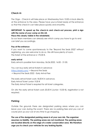## *Check-In*

The Orga - Check-In will take place on Wednesday from 10:00 o'clock directly at the entrance to the area. Please have your e-ticket ready at the entrance so that the check-in can take place quickly and smoothly.

## **IMPORTANT: To speed up the check-in and check-out process, print a sign with the name of your camp on Din A4.**

#### **Place this clearly visible in the windshield.**

So our team members can already see which camp you have to go to and can brief you accordingly.

#### **Pay at the entrance**

If you want to come spontaneously to the "Beyond the Seals 2022" without registering, you are welcome to do so. We still have plenty of room. The ticket at the entrance is 170,00  $\epsilon$ .

#### **early arrival**

Early arrival is possible from Monday, 06.06.2022, 16:00 - 21:00.

You can buy early arrival tickets in advance: <https://skald.com/> -> Beyond the Seals -> Beyond the Seals 2022 - Early Arrival Fee

The early arrival ticket costs  $18,00 \in \mathbb{R}$  in advance. Early Arrival Ticket Junior: 9,00 € The Early Arrival Ticket is required for all ticket categories.

On site the early arrival ticket costs 20,00  $\epsilon$  (Junior: 10,00  $\epsilon$ ), registration is not required.

## *Parking*

Outside the grounds there are designated parking areas where you can leave your cars during the event. There are no parking fees and you can of course pick up your car at any time to go shopping.

**The use of the designated parking areas is at your own risk. The organizer assumes no liability. The parking areas are not monitored. The parking areas are located directly on the edge of a water conservation area. We therefore urge you to check your vehicles for any leaking liquids.**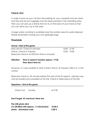## *Check-Out*

In order to pick up your car from the parking lot, your campsite must be clean and tidy and all your luggage must be ready packed in the unloading area. Then you can pick up a stamp from an SL on the back of your hand so that you can drive your car to the area.

A large waste container is available near the sanitary area for waste disposal. Please remember to bring your own garbage bags.

### *Timetable*

#### **Arrival / Start of the game**

| Early arrival / Check-In Monday              | $16:00 - 21:00$ |
|----------------------------------------------|-----------------|
| Arrival / Check-In Tuesday                   | 10:00 - 19:00   |
| Reduced check-in at HQ from time-in onwards. |                 |

### **Attention: Time-In speech Tuesday approx. 19:30 Then direct time-in!**

However, it is also possible to start a fluent time-in at Tuesday 5:00 p.m. in the camps.

Reduced check-in: 30 minutes before the start of the SL speech, vehicles may only be loaded and unloaded at the HQ. Check-in takes place at the HQ.

#### **Departure / End of the game**

Check-Out Sunday at 9:30

**Don't forget: At checkout, there are:**

**The USB photo stick (16 GB filled with approx. 1,5 GB photos) 10,00 € photo - download code 5,00 €**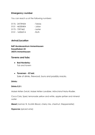## *Emergency number*

You can reach us at the following numbers:

| 0176 - 24739434 | - Tobias |
|-----------------|----------|
| 0151 - 46330404 | - Julian |
| 0175 - 7597462  | - Lester |
| 0151 - 16506314 | - Ruth   |

### *Arrival/Location*

**BdP-Bundeszentrum Immenhausen Kesselhaken 23 34376 Immenhausen**

### *Taverns and tubs:*

- **● Bad Norderby:** Tub and tavern
- **●** *Tavernen - Ki'osk:* Sale of drinks, firewood, buns and possibly snacks.

#### *Drinks:*

#### **Drinks 0,5 l:**

Maisel Aktien Zwickl, Maisel Aktien Landbier, Mönchshof Natur-Radler.

Coca Cola, Spezi, lemonade yellow and white, apple spritzer and mineral water

**Mead** (normal, fir, Scotish Blood, cherry mix, chestnut, Steppenreiter)

**Hypocras** (spiced wine)